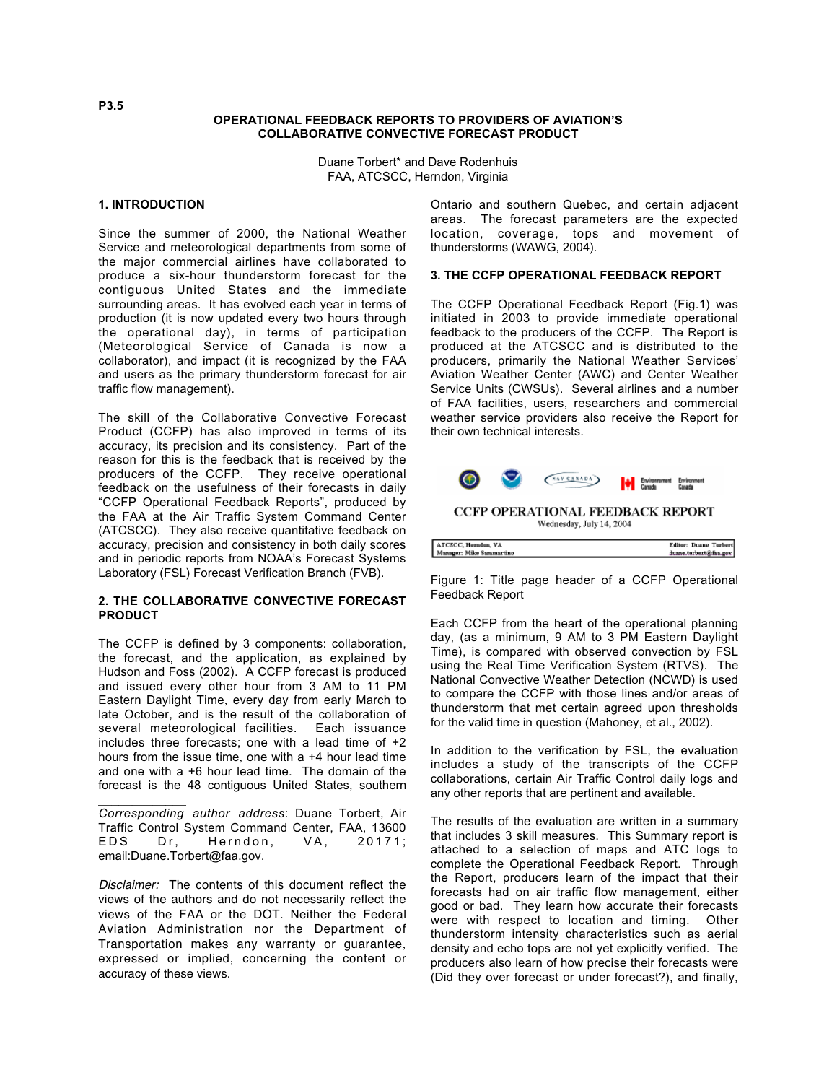### **OPERATIONAL FEEDBACK REPORTS TO PROVIDERS OF AVIATION'S COLLABORATIVE CONVECTIVE FORECAST PRODUCT**

Duane Torbert\* and Dave Rodenhuis FAA, ATCSCC, Herndon, Virginia

### **1. INTRODUCTION**

Since the summer of 2000, the National Weather Service and meteorological departments from some of the major commercial airlines have collaborated to produce a six-hour thunderstorm forecast for the contiguous United States and the immediate surrounding areas. It has evolved each year in terms of production (it is now updated every two hours through the operational day), in terms of participation (Meteorological Service of Canada is now a collaborator), and impact (it is recognized by the FAA and users as the primary thunderstorm forecast for air traffic flow management).

The skill of the Collaborative Convective Forecast Product (CCFP) has also improved in terms of its accuracy, its precision and its consistency. Part of the reason for this is the feedback that is received by the producers of the CCFP. They receive operational feedback on the usefulness of their forecasts in daily "CCFP Operational Feedback Reports", produced by the FAA at the Air Traffic System Command Center (ATCSCC). They also receive quantitative feedback on accuracy, precision and consistency in both daily scores and in periodic reports from NOAA's Forecast Systems Laboratory (FSL) Forecast Verification Branch (FVB).

# **2. THE COLLABORATIVE CONVECTIVE FORECAST PRODUCT**

The CCFP is defined by 3 components: collaboration, the forecast, and the application, as explained by Hudson and Foss (2002). A CCFP forecast is produced and issued every other hour from 3 AM to 11 PM Eastern Daylight Time, every day from early March to late October, and is the result of the collaboration of several meteorological facilities. Each issuance includes three forecasts; one with a lead time of +2 hours from the issue time, one with a +4 hour lead time and one with a +6 hour lead time. The domain of the forecast is the 48 contiguous United States, southern

\_\_\_\_\_\_\_\_\_\_\_\_\_ *Corresponding author address*: Duane Torbert, Air Traffic Control System Command Center, FAA, 13600 Dr, Herndon, VA, 20171; email:Duane.Torbert@faa.gov.

Disclaimer: The contents of this document reflect the views of the authors and do not necessarily reflect the views of the FAA or the DOT. Neither the Federal Aviation Administration nor the Department of Transportation makes any warranty or guarantee, expressed or implied, concerning the content or accuracy of these views.

Ontario and southern Quebec, and certain adjacent areas. The forecast parameters are the expected location, coverage, tops and movement of thunderstorms (WAWG, 2004).

# **3. THE CCFP OPERATIONAL FEEDBACK REPORT**

The CCFP Operational Feedback Report (Fig.1) was initiated in 2003 to provide immediate operational feedback to the producers of the CCFP. The Report is produced at the ATCSCC and is distributed to the producers, primarily the National Weather Services' Aviation Weather Center (AWC) and Center Weather Service Units (CWSUs). Several airlines and a number of FAA facilities, users, researchers and commercial weather service providers also receive the Report for their own technical interests.



Figure 1: Title page header of a CCFP Operational Feedback Report

Each CCFP from the heart of the operational planning day, (as a minimum, 9 AM to 3 PM Eastern Daylight Time), is compared with observed convection by FSL using the Real Time Verification System (RTVS). The National Convective Weather Detection (NCWD) is used to compare the CCFP with those lines and/or areas of thunderstorm that met certain agreed upon thresholds for the valid time in question (Mahoney, et al., 2002).

In addition to the verification by FSL, the evaluation includes a study of the transcripts of the CCFP collaborations, certain Air Traffic Control daily logs and any other reports that are pertinent and available.

The results of the evaluation are written in a summary that includes 3 skill measures. This Summary report is attached to a selection of maps and ATC logs to complete the Operational Feedback Report. Through the Report, producers learn of the impact that their forecasts had on air traffic flow management, either good or bad. They learn how accurate their forecasts were with respect to location and timing. Other thunderstorm intensity characteristics such as aerial density and echo tops are not yet explicitly verified. The producers also learn of how precise their forecasts were (Did they over forecast or under forecast?), and finally,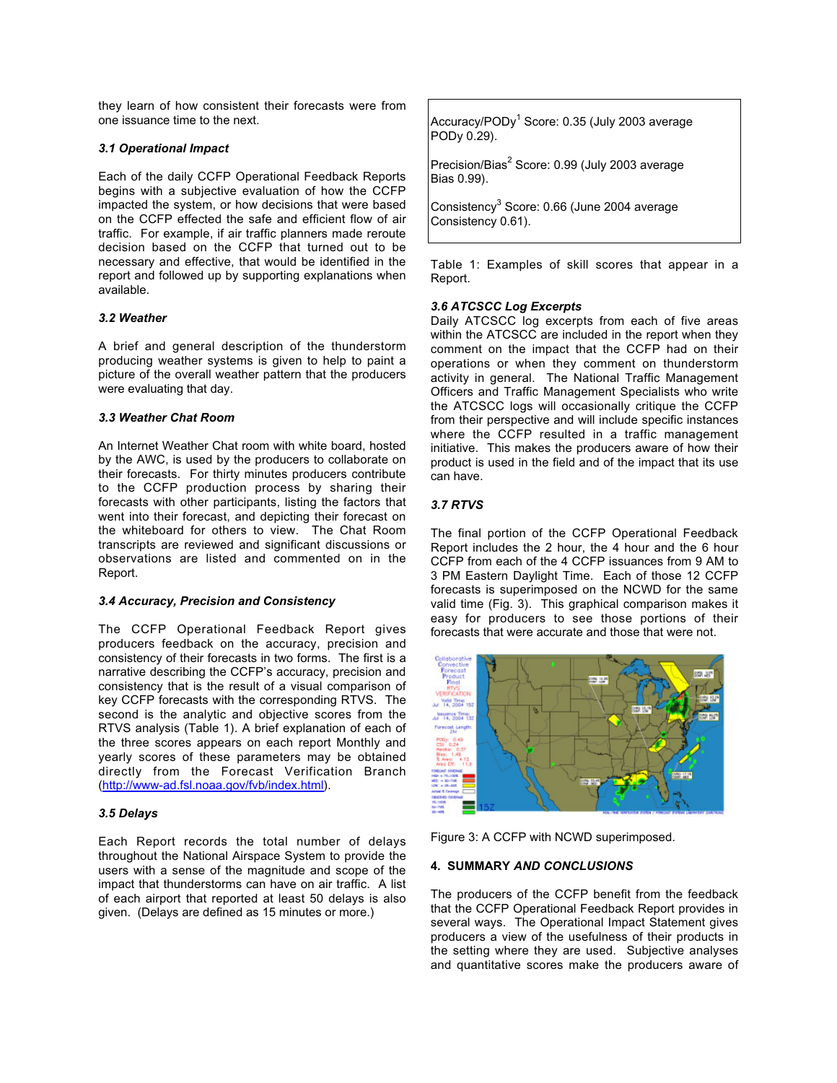they learn of how consistent their forecasts were from one issuance time to the next.

### *3.1 Operational Impact*

Each of the daily CCFP Operational Feedback Reports begins with a subjective evaluation of how the CCFP impacted the system, or how decisions that were based on the CCFP effected the safe and efficient flow of air traffic. For example, if air traffic planners made reroute decision based on the CCFP that turned out to be necessary and effective, that would be identified in the report and followed up by supporting explanations when available.

#### *3.2 Weather*

A brief and general description of the thunderstorm producing weather systems is given to help to paint a picture of the overall weather pattern that the producers were evaluating that day.

### *3.3 Weather Chat Room*

An Internet Weather Chat room with white board, hosted by the AWC, is used by the producers to collaborate on their forecasts. For thirty minutes producers contribute to the CCFP production process by sharing their forecasts with other participants, listing the factors that went into their forecast, and depicting their forecast on the whiteboard for others to view. The Chat Room transcripts are reviewed and significant discussions or observations are listed and commented on in the Report.

# *3.4 Accuracy, Precision and Consistency*

The CCFP Operational Feedback Report gives producers feedback on the accuracy, precision and consistency of their forecasts in two forms. The first is a narrative describing the CCFP's accuracy, precision and consistency that is the result of a visual comparison of key CCFP forecasts with the corresponding RTVS. The second is the analytic and objective scores from the RTVS analysis (Table 1). A brief explanation of each of the three scores appears on each report Monthly and yearly scores of these parameters may be obtained directly from the Forecast Verification Branch (http://www-ad.fsl.noaa.gov/fvb/index.html).

# *3.5 Delays*

Each Report records the total number of delays throughout the National Airspace System to provide the users with a sense of the magnitude and scope of the impact that thunderstorms can have on air traffic. A list of each airport that reported at least 50 delays is also given. (Delays are defined as 15 minutes or more.)

Accuracy/PODy<sup>1</sup> Score: 0.35 (July 2003 average PODy 0.29).

Precision/Bias $^2$  Score: 0.99 (July 2003 average Bias 0.99).

Consistency<sup>3</sup> Score: 0.66 (June 2004 average Consistency 0.61).

Table 1: Examples of skill scores that appear in a Report.

#### *3.6 ATCSCC Log Excerpts*

Daily ATCSCC log excerpts from each of five areas within the ATCSCC are included in the report when they comment on the impact that the CCFP had on their operations or when they comment on thunderstorm activity in general. The National Traffic Management Officers and Traffic Management Specialists who write the ATCSCC logs will occasionally critique the CCFP from their perspective and will include specific instances where the CCFP resulted in a traffic management initiative. This makes the producers aware of how their product is used in the field and of the impact that its use can have.

# *3.7 RTVS*

The final portion of the CCFP Operational Feedback Report includes the 2 hour, the 4 hour and the 6 hour CCFP from each of the 4 CCFP issuances from 9 AM to 3 PM Eastern Daylight Time. Each of those 12 CCFP forecasts is superimposed on the NCWD for the same valid time (Fig. 3). This graphical comparison makes it easy for producers to see those portions of their forecasts that were accurate and those that were not.



Figure 3: A CCFP with NCWD superimposed.

### **4. SUMMARY** *AND CONCLUSIONS*

The producers of the CCFP benefit from the feedback that the CCFP Operational Feedback Report provides in several ways. The Operational Impact Statement gives producers a view of the usefulness of their products in the setting where they are used. Subjective analyses and quantitative scores make the producers aware of